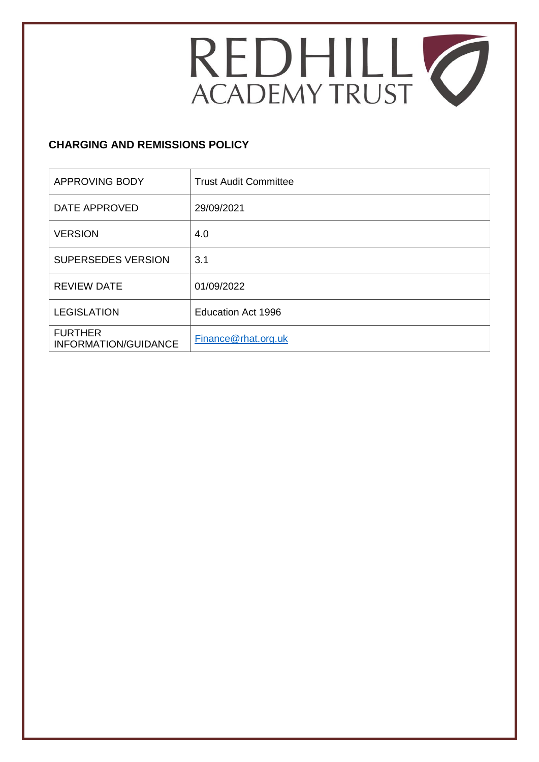

# **CHARGING AND REMISSIONS POLICY**

| <b>APPROVING BODY</b>                  | <b>Trust Audit Committee</b> |
|----------------------------------------|------------------------------|
| DATE APPROVED                          | 29/09/2021                   |
| <b>VERSION</b>                         | 4.0                          |
| <b>SUPERSEDES VERSION</b>              | 3.1                          |
| <b>REVIEW DATE</b>                     | 01/09/2022                   |
| <b>LEGISLATION</b>                     | <b>Education Act 1996</b>    |
| <b>FURTHER</b><br>INFORMATION/GUIDANCE | Finance@rhat.org.uk          |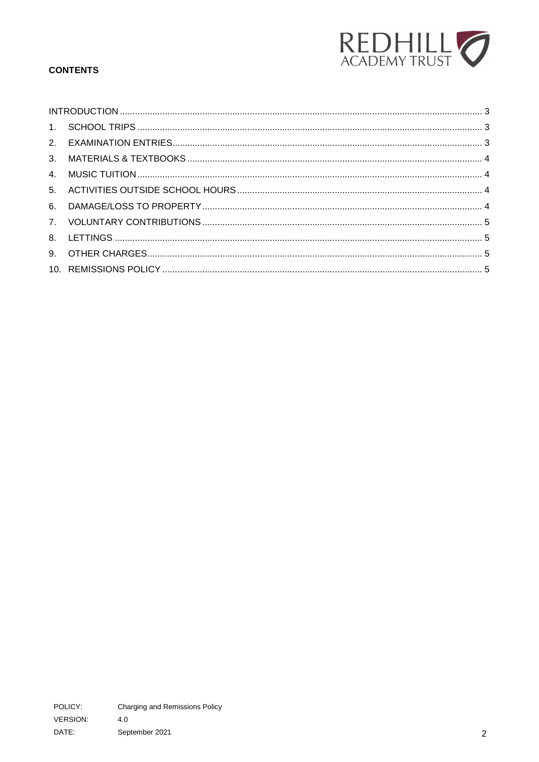

## **CONTENTS**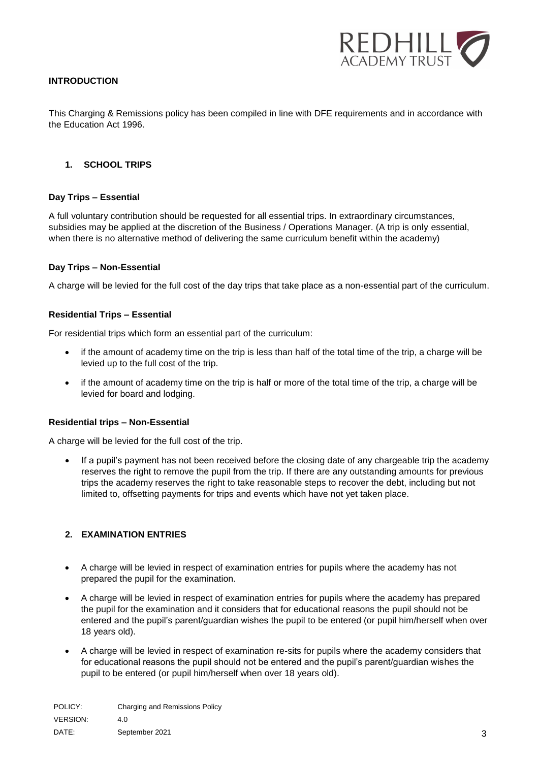

## <span id="page-2-0"></span>**INTRODUCTION**

This Charging & Remissions policy has been compiled in line with DFE requirements and in accordance with the Education Act 1996.

#### <span id="page-2-1"></span>**1. SCHOOL TRIPS**

#### **Day Trips – Essential**

A full voluntary contribution should be requested for all essential trips. In extraordinary circumstances, subsidies may be applied at the discretion of the Business / Operations Manager. (A trip is only essential, when there is no alternative method of delivering the same curriculum benefit within the academy)

#### **Day Trips – Non-Essential**

A charge will be levied for the full cost of the day trips that take place as a non-essential part of the curriculum.

#### **Residential Trips – Essential**

For residential trips which form an essential part of the curriculum:

- if the amount of academy time on the trip is less than half of the total time of the trip, a charge will be levied up to the full cost of the trip.
- if the amount of academy time on the trip is half or more of the total time of the trip, a charge will be levied for board and lodging.

#### **Residential trips – Non-Essential**

A charge will be levied for the full cost of the trip.

 If a pupil's payment has not been received before the closing date of any chargeable trip the academy reserves the right to remove the pupil from the trip. If there are any outstanding amounts for previous trips the academy reserves the right to take reasonable steps to recover the debt, including but not limited to, offsetting payments for trips and events which have not yet taken place.

#### <span id="page-2-2"></span>**2. EXAMINATION ENTRIES**

- A charge will be levied in respect of examination entries for pupils where the academy has not prepared the pupil for the examination.
- A charge will be levied in respect of examination entries for pupils where the academy has prepared the pupil for the examination and it considers that for educational reasons the pupil should not be entered and the pupil's parent/guardian wishes the pupil to be entered (or pupil him/herself when over 18 years old).
- A charge will be levied in respect of examination re-sits for pupils where the academy considers that for educational reasons the pupil should not be entered and the pupil's parent/guardian wishes the pupil to be entered (or pupil him/herself when over 18 years old).

| POLICY:         | Charging and Remissions Policy |
|-----------------|--------------------------------|
| <b>VERSION:</b> | 4.0                            |
| DATE:           | September 2021                 |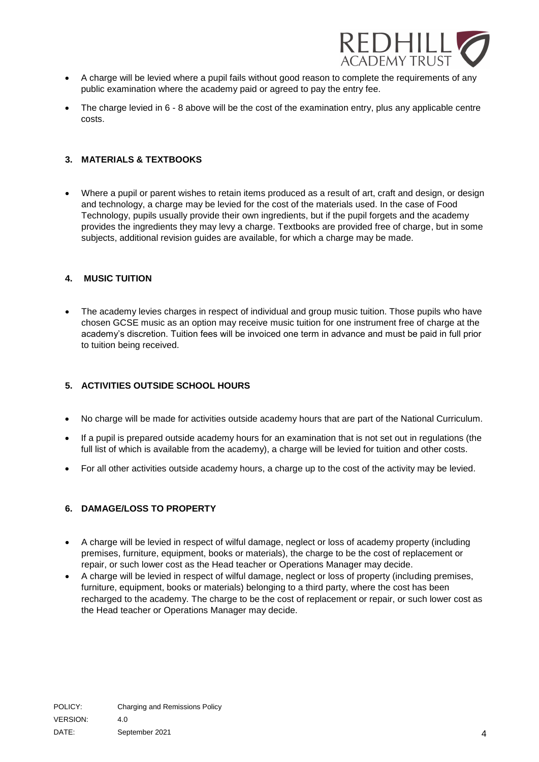

- A charge will be levied where a pupil fails without good reason to complete the requirements of any public examination where the academy paid or agreed to pay the entry fee.
- The charge levied in 6 8 above will be the cost of the examination entry, plus any applicable centre costs.

#### <span id="page-3-0"></span>**3. MATERIALS & TEXTBOOKS**

 Where a pupil or parent wishes to retain items produced as a result of art, craft and design, or design and technology, a charge may be levied for the cost of the materials used. In the case of Food Technology, pupils usually provide their own ingredients, but if the pupil forgets and the academy provides the ingredients they may levy a charge. Textbooks are provided free of charge, but in some subjects, additional revision guides are available, for which a charge may be made.

#### <span id="page-3-1"></span>**4. MUSIC TUITION**

 The academy levies charges in respect of individual and group music tuition. Those pupils who have chosen GCSE music as an option may receive music tuition for one instrument free of charge at the academy's discretion. Tuition fees will be invoiced one term in advance and must be paid in full prior to tuition being received.

#### <span id="page-3-2"></span>**5. ACTIVITIES OUTSIDE SCHOOL HOURS**

- No charge will be made for activities outside academy hours that are part of the National Curriculum.
- If a pupil is prepared outside academy hours for an examination that is not set out in regulations (the full list of which is available from the academy), a charge will be levied for tuition and other costs.
- For all other activities outside academy hours, a charge up to the cost of the activity may be levied.

#### <span id="page-3-3"></span>**6. DAMAGE/LOSS TO PROPERTY**

- A charge will be levied in respect of wilful damage, neglect or loss of academy property (including premises, furniture, equipment, books or materials), the charge to be the cost of replacement or repair, or such lower cost as the Head teacher or Operations Manager may decide.
- A charge will be levied in respect of wilful damage, neglect or loss of property (including premises, furniture, equipment, books or materials) belonging to a third party, where the cost has been recharged to the academy. The charge to be the cost of replacement or repair, or such lower cost as the Head teacher or Operations Manager may decide.